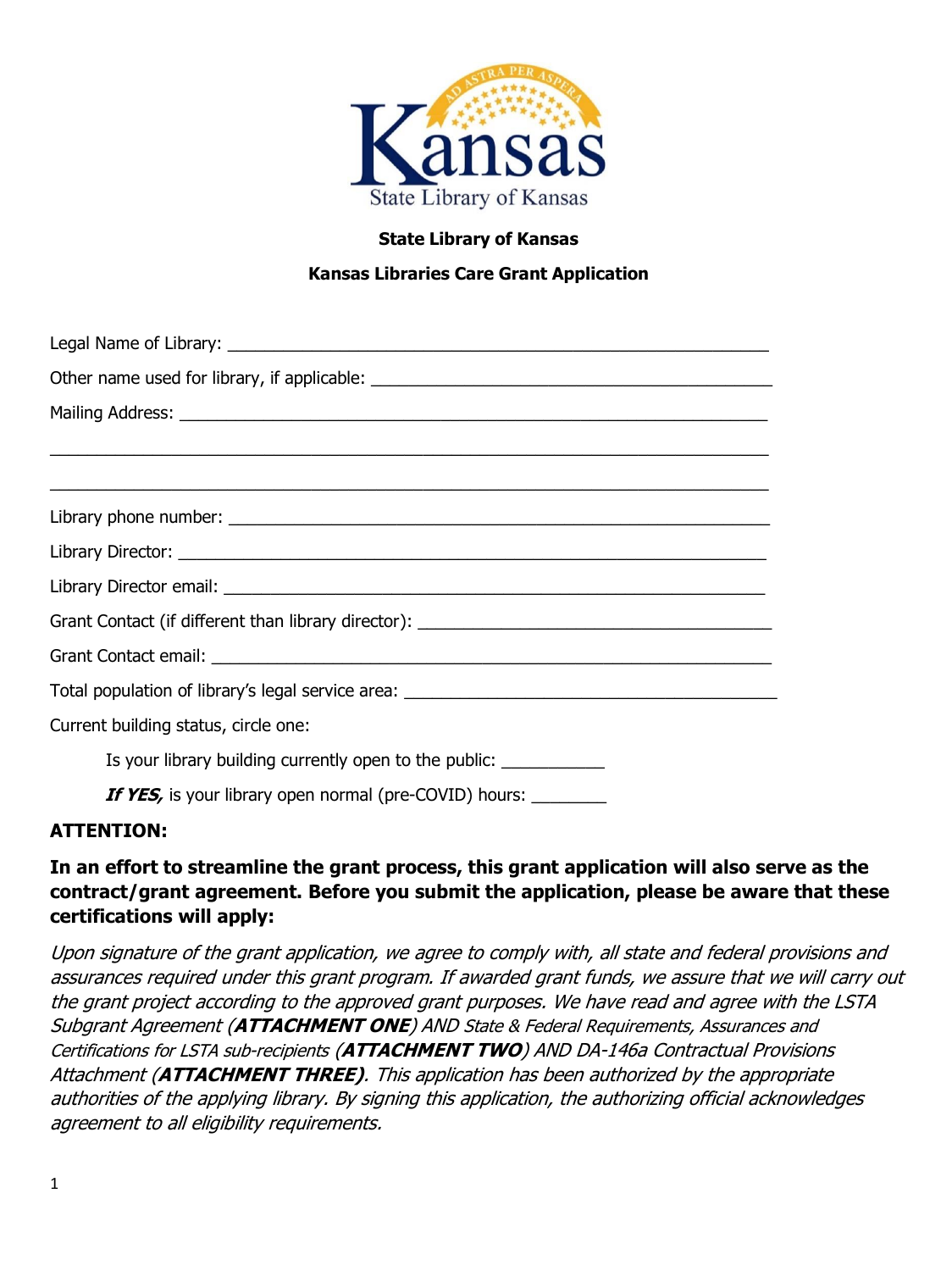

#### **State Library of Kansas**

## **Kansas Libraries Care Grant Application**

| ,我们也不能在这里的人,我们也不能在这里的人,我们也不能在这里的人,我们也不能在这里的人,我们也不能在这里的人,我们也不能在这里的人,我们也不能在这里的人,我们也 |
|-----------------------------------------------------------------------------------|
|                                                                                   |
|                                                                                   |
|                                                                                   |
| Grant Contact (if different than library director): _____________________________ |
|                                                                                   |
|                                                                                   |
| Current building status, circle one:                                              |
| Is your library building currently open to the public: _____________              |
| <b>If YES</b> , is your library open normal (pre-COVID) hours:                    |

#### **ATTENTION:**

# **In an effort to streamline the grant process, this grant application will also serve as the contract/grant agreement. Before you submit the application, please be aware that these certifications will apply:**

Upon signature of the grant application, we agree to comply with, all state and federal provisions and assurances required under this grant program. If awarded grant funds, we assure that we will carry out the grant project according to the approved grant purposes. We have read and agree with the LSTA Subgrant Agreement (**ATTACHMENT ONE**) AND State & Federal Requirements, Assurances and Certifications for LSTA sub-recipients (**ATTACHMENT TWO**) AND DA-146a Contractual Provisions Attachment (**ATTACHMENT THREE)**. This application has been authorized by the appropriate authorities of the applying library. By signing this application, the authorizing official acknowledges agreement to all eligibility requirements.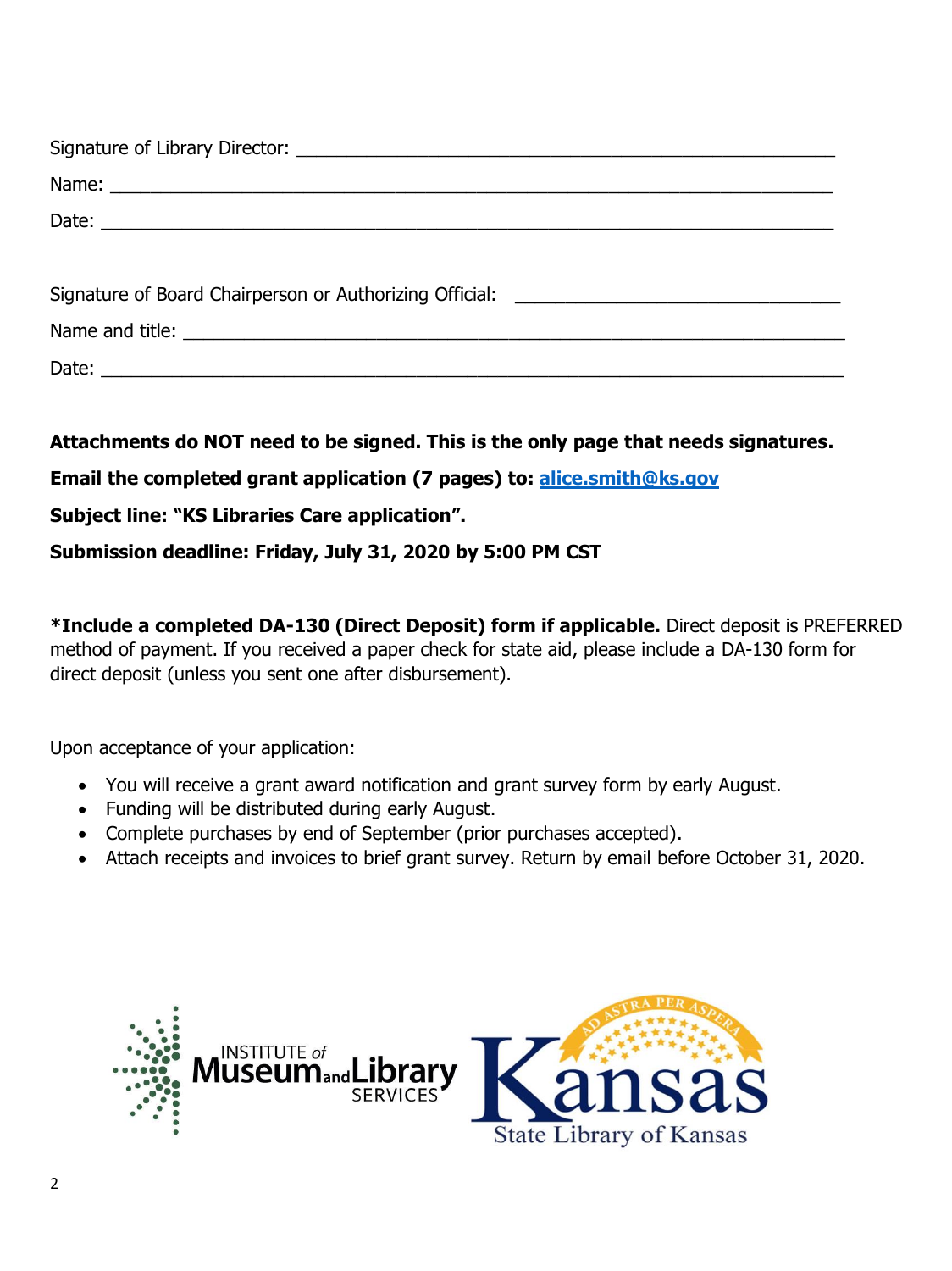**Attachments do NOT need to be signed. This is the only page that needs signatures.**

**Email the completed grant application (7 pages) to: [alice.smith@ks.gov](mailto:alice.smith@ks.gov)**

**Subject line: "KS Libraries Care application".** 

**Submission deadline: Friday, July 31, 2020 by 5:00 PM CST**

**\*Include a completed DA-130 (Direct Deposit) form if applicable.** Direct deposit is PREFERRED method of payment. If you received a paper check for state aid, please include a DA-130 form for direct deposit (unless you sent one after disbursement).

Upon acceptance of your application:

- You will receive a grant award notification and grant survey form by early August.
- Funding will be distributed during early August.
- Complete purchases by end of September (prior purchases accepted).
- Attach receipts and invoices to brief grant survey. Return by email before October 31, 2020.

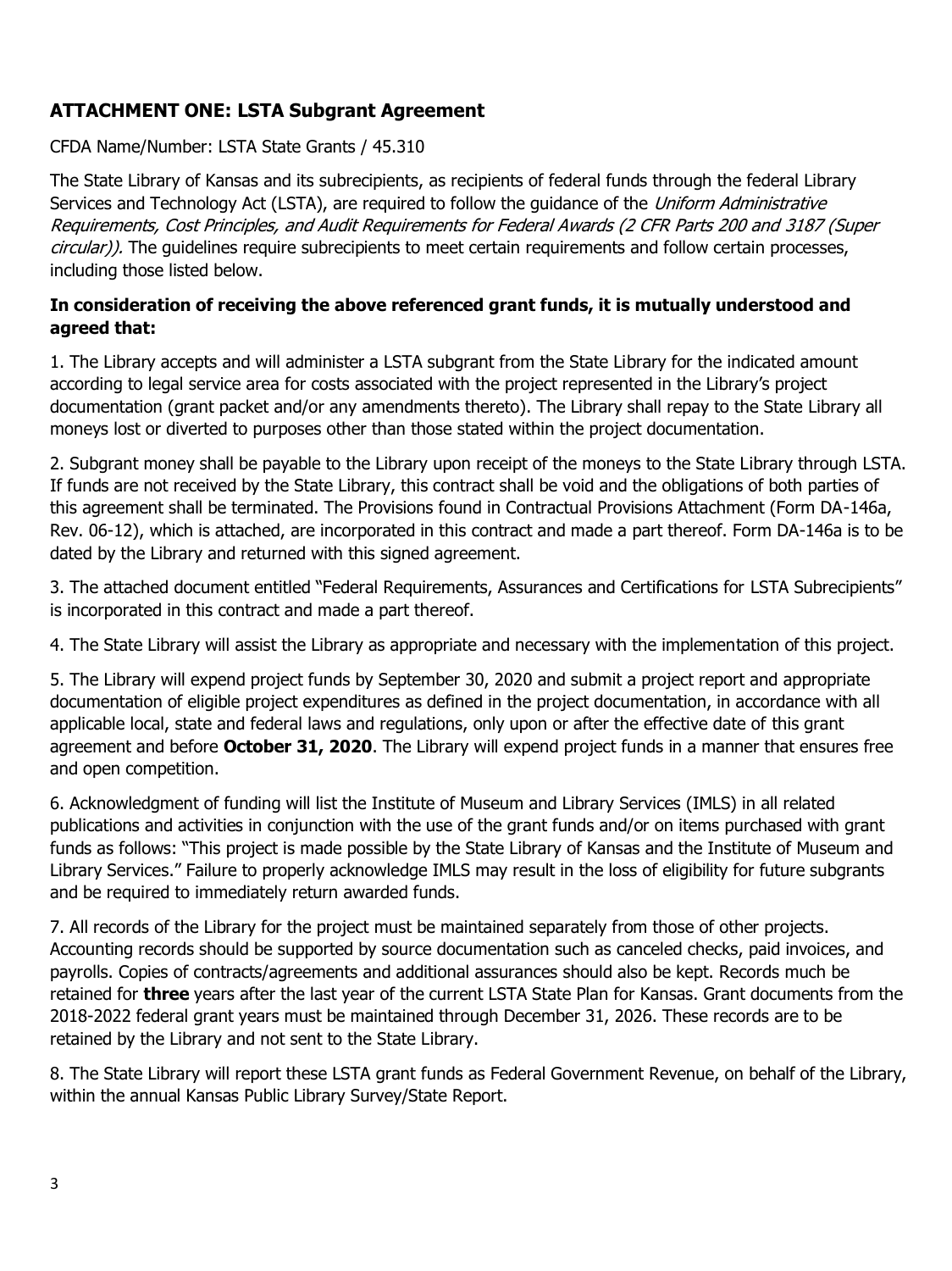# **ATTACHMENT ONE: LSTA Subgrant Agreement**

CFDA Name/Number: LSTA State Grants / 45.310

The State Library of Kansas and its subrecipients, as recipients of federal funds through the federal Library Services and Technology Act (LSTA), are required to follow the quidance of the *Uniform Administrative* Requirements, Cost Principles, and Audit Requirements for Federal Awards (2 CFR Parts 200 and 3187 (Super circular)). The quidelines require subrecipients to meet certain requirements and follow certain processes, including those listed below.

## **In consideration of receiving the above referenced grant funds, it is mutually understood and agreed that:**

1. The Library accepts and will administer a LSTA subgrant from the State Library for the indicated amount according to legal service area for costs associated with the project represented in the Library's project documentation (grant packet and/or any amendments thereto). The Library shall repay to the State Library all moneys lost or diverted to purposes other than those stated within the project documentation.

2. Subgrant money shall be payable to the Library upon receipt of the moneys to the State Library through LSTA. If funds are not received by the State Library, this contract shall be void and the obligations of both parties of this agreement shall be terminated. The Provisions found in Contractual Provisions Attachment (Form DA-146a, Rev. 06-12), which is attached, are incorporated in this contract and made a part thereof. Form DA-146a is to be dated by the Library and returned with this signed agreement.

3. The attached document entitled "Federal Requirements, Assurances and Certifications for LSTA Subrecipients" is incorporated in this contract and made a part thereof.

4. The State Library will assist the Library as appropriate and necessary with the implementation of this project.

5. The Library will expend project funds by September 30, 2020 and submit a project report and appropriate documentation of eligible project expenditures as defined in the project documentation, in accordance with all applicable local, state and federal laws and regulations, only upon or after the effective date of this grant agreement and before **October 31, 2020**. The Library will expend project funds in a manner that ensures free and open competition.

6. Acknowledgment of funding will list the Institute of Museum and Library Services (IMLS) in all related publications and activities in conjunction with the use of the grant funds and/or on items purchased with grant funds as follows: "This project is made possible by the State Library of Kansas and the Institute of Museum and Library Services." Failure to properly acknowledge IMLS may result in the loss of eligibility for future subgrants and be required to immediately return awarded funds.

7. All records of the Library for the project must be maintained separately from those of other projects. Accounting records should be supported by source documentation such as canceled checks, paid invoices, and payrolls. Copies of contracts/agreements and additional assurances should also be kept. Records much be retained for **three** years after the last year of the current LSTA State Plan for Kansas. Grant documents from the 2018-2022 federal grant years must be maintained through December 31, 2026. These records are to be retained by the Library and not sent to the State Library.

8. The State Library will report these LSTA grant funds as Federal Government Revenue, on behalf of the Library, within the annual Kansas Public Library Survey/State Report.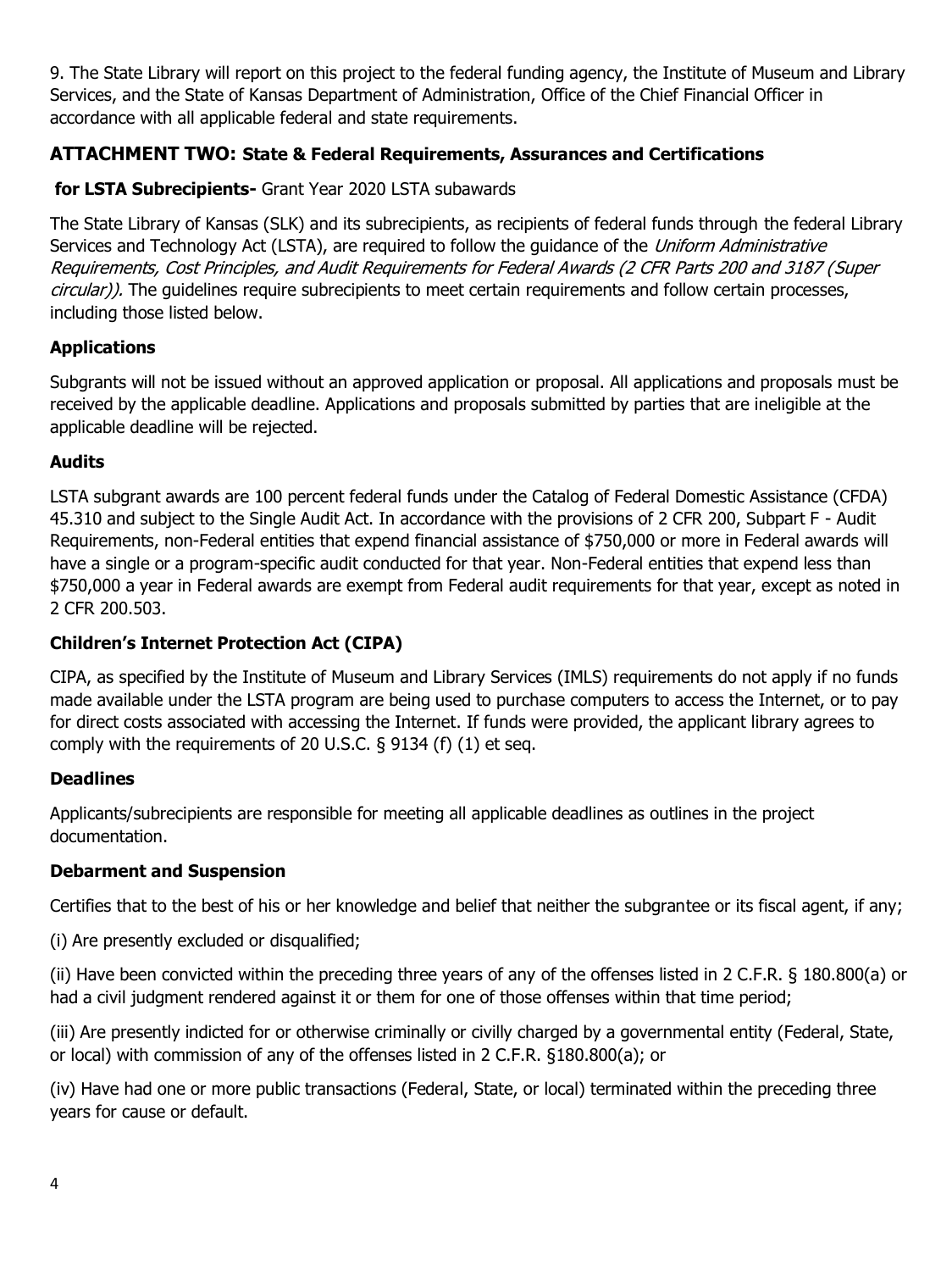9. The State Library will report on this project to the federal funding agency, the Institute of Museum and Library Services, and the State of Kansas Department of Administration, Office of the Chief Financial Officer in accordance with all applicable federal and state requirements.

# **ATTACHMENT TWO: State & Federal Requirements, Assurances and Certifications**

## **for LSTA Subrecipients-** Grant Year 2020 LSTA subawards

The State Library of Kansas (SLK) and its subrecipients, as recipients of federal funds through the federal Library Services and Technology Act (LSTA), are required to follow the guidance of the Uniform Administrative Requirements, Cost Principles, and Audit Requirements for Federal Awards (2 CFR Parts 200 and 3187 (Super circular)). The guidelines require subrecipients to meet certain requirements and follow certain processes, including those listed below.

#### **Applications**

Subgrants will not be issued without an approved application or proposal. All applications and proposals must be received by the applicable deadline. Applications and proposals submitted by parties that are ineligible at the applicable deadline will be rejected.

#### **Audits**

LSTA subgrant awards are 100 percent federal funds under the Catalog of Federal Domestic Assistance (CFDA) 45.310 and subject to the Single Audit Act. In accordance with the provisions of 2 CFR 200, Subpart F - Audit Requirements, non-Federal entities that expend financial assistance of \$750,000 or more in Federal awards will have a single or a program-specific audit conducted for that year. Non-Federal entities that expend less than \$750,000 a year in Federal awards are exempt from Federal audit requirements for that year, except as noted in 2 CFR 200.503.

#### **Children's Internet Protection Act (CIPA)**

CIPA, as specified by the Institute of Museum and Library Services (IMLS) requirements do not apply if no funds made available under the LSTA program are being used to purchase computers to access the Internet, or to pay for direct costs associated with accessing the Internet. If funds were provided, the applicant library agrees to comply with the requirements of 20 U.S.C. § 9134 (f) (1) et seq.

#### **Deadlines**

Applicants/subrecipients are responsible for meeting all applicable deadlines as outlines in the project documentation.

#### **Debarment and Suspension**

Certifies that to the best of his or her knowledge and belief that neither the subgrantee or its fiscal agent, if any;

(i) Are presently excluded or disqualified;

(ii) Have been convicted within the preceding three years of any of the offenses listed in 2 C.F.R. § 180.800(a) or had a civil judgment rendered against it or them for one of those offenses within that time period;

(iii) Are presently indicted for or otherwise criminally or civilly charged by a governmental entity (Federal, State, or local) with commission of any of the offenses listed in 2 C.F.R. §180.800(a); or

(iv) Have had one or more public transactions (Federal, State, or local) terminated within the preceding three years for cause or default.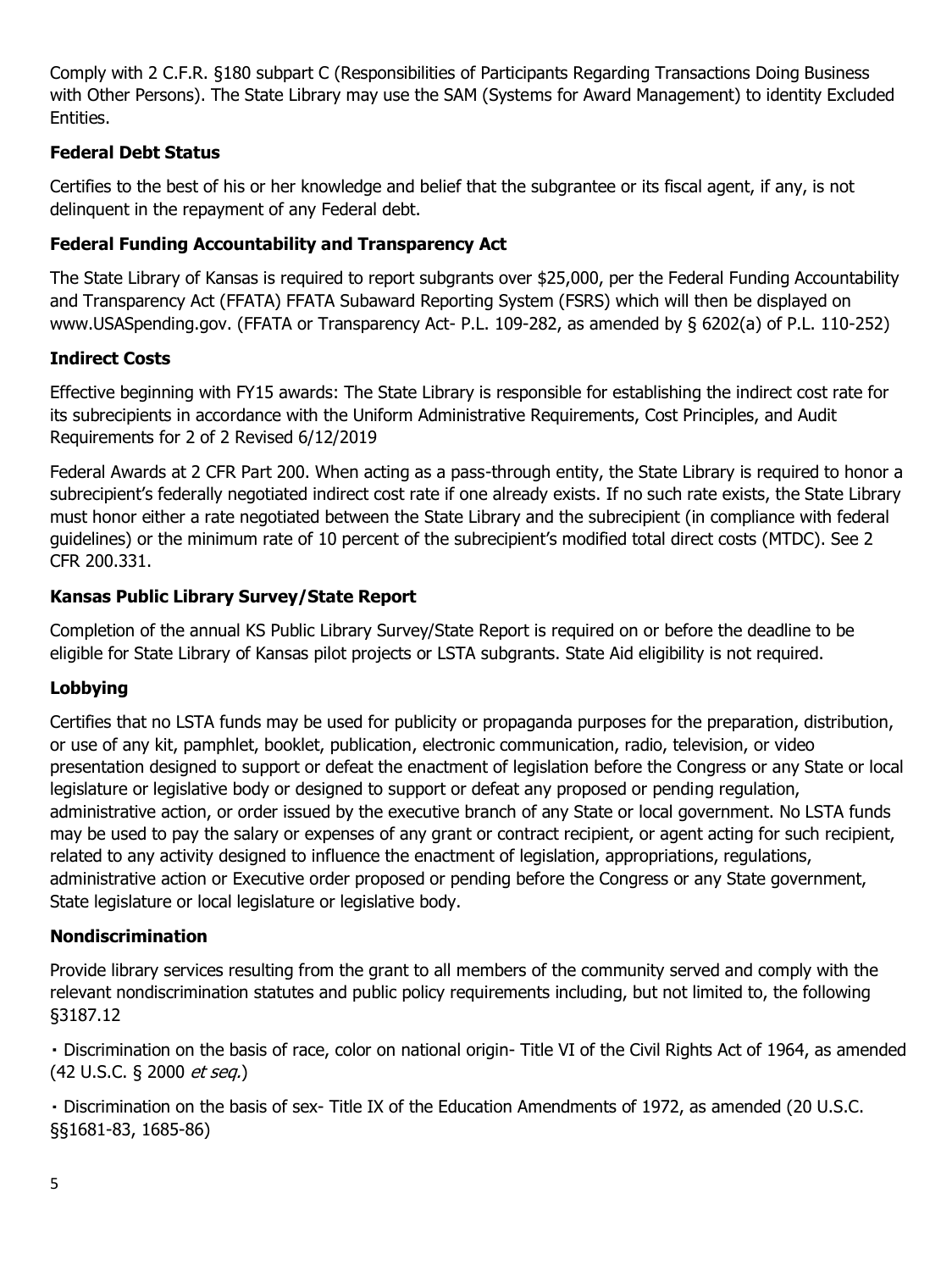Comply with 2 C.F.R. §180 subpart C (Responsibilities of Participants Regarding Transactions Doing Business with Other Persons). The State Library may use the SAM (Systems for Award Management) to identity Excluded Entities.

## **Federal Debt Status**

Certifies to the best of his or her knowledge and belief that the subgrantee or its fiscal agent, if any, is not delinquent in the repayment of any Federal debt.

## **Federal Funding Accountability and Transparency Act**

The State Library of Kansas is required to report subgrants over \$25,000, per the Federal Funding Accountability and Transparency Act (FFATA) FFATA Subaward Reporting System (FSRS) which will then be displayed on www.USASpending.gov. (FFATA or Transparency Act- P.L. 109-282, as amended by § 6202(a) of P.L. 110-252)

## **Indirect Costs**

Effective beginning with FY15 awards: The State Library is responsible for establishing the indirect cost rate for its subrecipients in accordance with the Uniform Administrative Requirements, Cost Principles, and Audit Requirements for 2 of 2 Revised 6/12/2019

Federal Awards at 2 CFR Part 200. When acting as a pass-through entity, the State Library is required to honor a subrecipient's federally negotiated indirect cost rate if one already exists. If no such rate exists, the State Library must honor either a rate negotiated between the State Library and the subrecipient (in compliance with federal guidelines) or the minimum rate of 10 percent of the subrecipient's modified total direct costs (MTDC). See 2 CFR 200.331.

## **Kansas Public Library Survey/State Report**

Completion of the annual KS Public Library Survey/State Report is required on or before the deadline to be eligible for State Library of Kansas pilot projects or LSTA subgrants. State Aid eligibility is not required.

# **Lobbying**

Certifies that no LSTA funds may be used for publicity or propaganda purposes for the preparation, distribution, or use of any kit, pamphlet, booklet, publication, electronic communication, radio, television, or video presentation designed to support or defeat the enactment of legislation before the Congress or any State or local legislature or legislative body or designed to support or defeat any proposed or pending regulation, administrative action, or order issued by the executive branch of any State or local government. No LSTA funds may be used to pay the salary or expenses of any grant or contract recipient, or agent acting for such recipient, related to any activity designed to influence the enactment of legislation, appropriations, regulations, administrative action or Executive order proposed or pending before the Congress or any State government, State legislature or local legislature or legislative body.

#### **Nondiscrimination**

Provide library services resulting from the grant to all members of the community served and comply with the relevant nondiscrimination statutes and public policy requirements including, but not limited to, the following §3187.12

Discrimination on the basis of race, color on national origin- Title VI of the Civil Rights Act of 1964, as amended (42 U.S.C. § 2000 et seq.)

Discrimination on the basis of sex- Title IX of the Education Amendments of 1972, as amended (20 U.S.C. §§1681-83, 1685-86)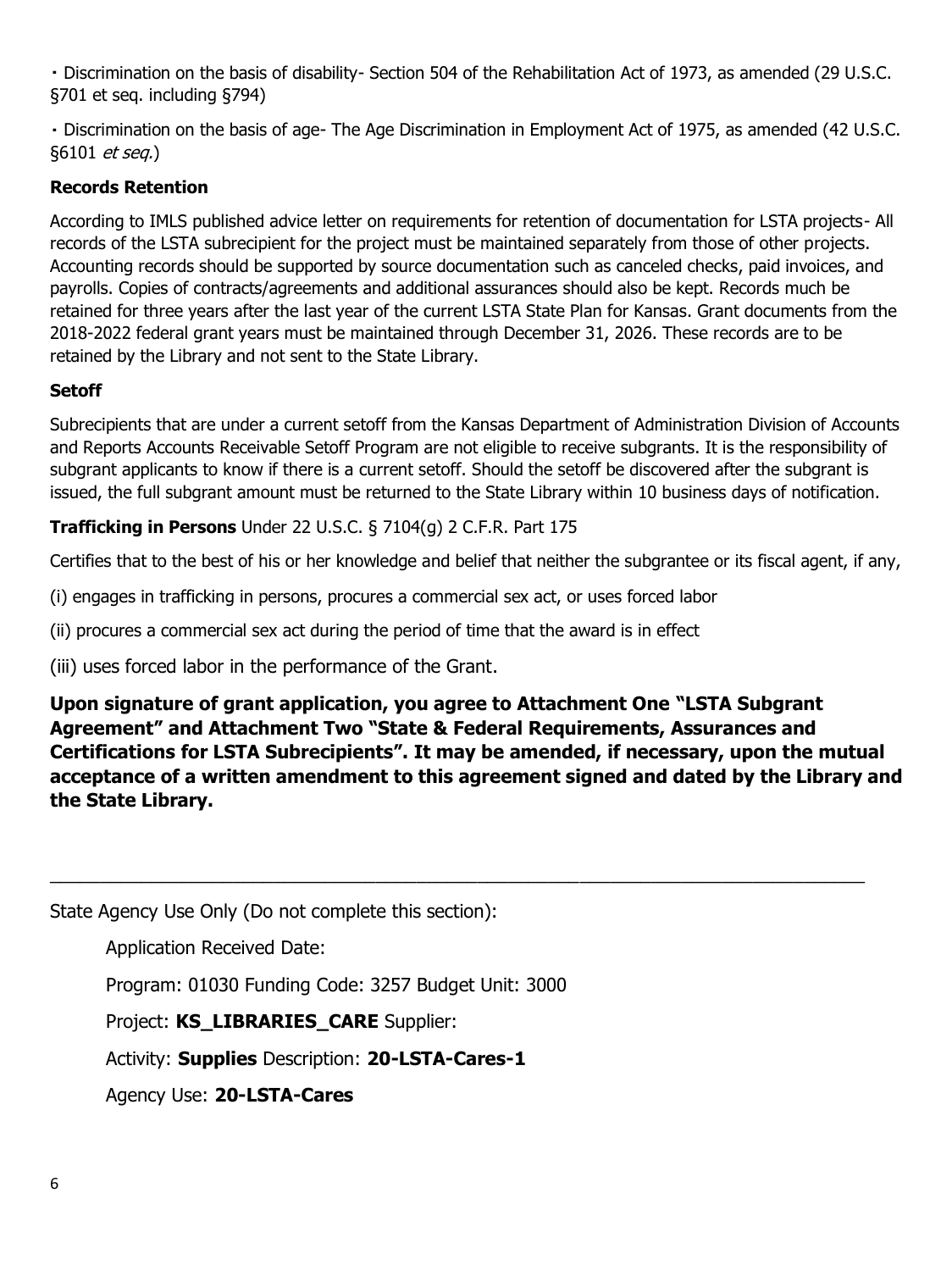Discrimination on the basis of disability- Section 504 of the Rehabilitation Act of 1973, as amended (29 U.S.C. §701 et seq. including §794)

Discrimination on the basis of age- The Age Discrimination in Employment Act of 1975, as amended (42 U.S.C. §6101 et seq.)

#### **Records Retention**

According to IMLS published advice letter on requirements for retention of documentation for LSTA projects- All records of the LSTA subrecipient for the project must be maintained separately from those of other projects. Accounting records should be supported by source documentation such as canceled checks, paid invoices, and payrolls. Copies of contracts/agreements and additional assurances should also be kept. Records much be retained for three years after the last year of the current LSTA State Plan for Kansas. Grant documents from the 2018-2022 federal grant years must be maintained through December 31, 2026. These records are to be retained by the Library and not sent to the State Library.

#### **Setoff**

Subrecipients that are under a current setoff from the Kansas Department of Administration Division of Accounts and Reports Accounts Receivable Setoff Program are not eligible to receive subgrants. It is the responsibility of subgrant applicants to know if there is a current setoff. Should the setoff be discovered after the subgrant is issued, the full subgrant amount must be returned to the State Library within 10 business days of notification.

#### **Trafficking in Persons** Under 22 U.S.C. § 7104(g) 2 C.F.R. Part 175

Certifies that to the best of his or her knowledge and belief that neither the subgrantee or its fiscal agent, if any,

(i) engages in trafficking in persons, procures a commercial sex act, or uses forced labor

(ii) procures a commercial sex act during the period of time that the award is in effect

(iii) uses forced labor in the performance of the Grant.

**Upon signature of grant application, you agree to Attachment One "LSTA Subgrant Agreement" and Attachment Two "State & Federal Requirements, Assurances and Certifications for LSTA Subrecipients". It may be amended, if necessary, upon the mutual acceptance of a written amendment to this agreement signed and dated by the Library and the State Library.**

\_\_\_\_\_\_\_\_\_\_\_\_\_\_\_\_\_\_\_\_\_\_\_\_\_\_\_\_\_\_\_\_\_\_\_\_\_\_\_\_\_\_\_\_\_\_\_\_\_\_\_\_\_\_\_\_\_\_\_\_\_\_\_\_\_\_\_\_\_\_\_\_\_\_\_\_\_\_\_\_

State Agency Use Only (Do not complete this section):

Application Received Date:

Program: 01030 Funding Code: 3257 Budget Unit: 3000

Project: **KS\_LIBRARIES\_CARE** Supplier:

Activity: **Supplies** Description: **20-LSTA-Cares-1** 

Agency Use: **20-LSTA-Cares**